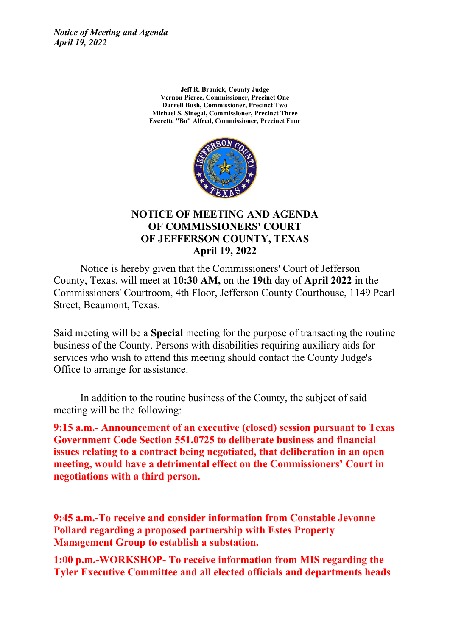*Notice of Meeting and Agenda April 19, 2022*

> **Jeff R. Branick, County Judge Vernon Pierce, Commissioner, Precinct One Darrell Bush, Commissioner, Precinct Two Michael S. Sinegal, Commissioner, Precinct Three Everette "Bo" Alfred, Commissioner, Precinct Four**



#### **NOTICE OF MEETING AND AGENDA OF COMMISSIONERS' COURT OF JEFFERSON COUNTY, TEXAS April 19, 2022**

Notice is hereby given that the Commissioners' Court of Jefferson County, Texas, will meet at **10:30 AM,** on the **19th** day of **April 2022** in the Commissioners' Courtroom, 4th Floor, Jefferson County Courthouse, 1149 Pearl Street, Beaumont, Texas.

Said meeting will be a **Special** meeting for the purpose of transacting the routine business of the County. Persons with disabilities requiring auxiliary aids for services who wish to attend this meeting should contact the County Judge's Office to arrange for assistance.

In addition to the routine business of the County, the subject of said meeting will be the following:

**9:15 a.m.- Announcement of an executive (closed) session pursuant to Texas Government Code Section 551.0725 to deliberate business and financial issues relating to a contract being negotiated, that deliberation in an open meeting, would have a detrimental effect on the Commissioners' Court in negotiations with a third person.**

**9:45 a.m.-To receive and consider information from Constable Jevonne Pollard regarding a proposed partnership with Estes Property Management Group to establish a substation.**

**1:00 p.m.-WORKSHOP- To receive information from MIS regarding the Tyler Executive Committee and all elected officials and departments heads**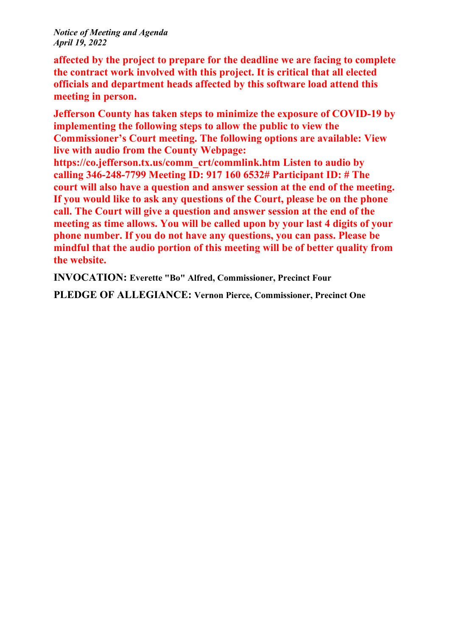#### *Notice of Meeting and Agenda April 19, 2022*

**affected by the project to prepare for the deadline we are facing to complete the contract work involved with this project. It is critical that all elected officials and department heads affected by this software load attend this meeting in person.**

**Jefferson County has taken steps to minimize the exposure of COVID-19 by implementing the following steps to allow the public to view the Commissioner's Court meeting. The following options are available: View live with audio from the County Webpage:**

**https://co.jefferson.tx.us/comm\_crt/commlink.htm Listen to audio by calling 346-248-7799 Meeting ID: 917 160 6532# Participant ID: # The court will also have a question and answer session at the end of the meeting. If you would like to ask any questions of the Court, please be on the phone call. The Court will give a question and answer session at the end of the meeting as time allows. You will be called upon by your last 4 digits of your phone number. If you do not have any questions, you can pass. Please be mindful that the audio portion of this meeting will be of better quality from the website.**

**INVOCATION: Everette "Bo" Alfred, Commissioner, Precinct Four**

**PLEDGE OF ALLEGIANCE: Vernon Pierce, Commissioner, Precinct One**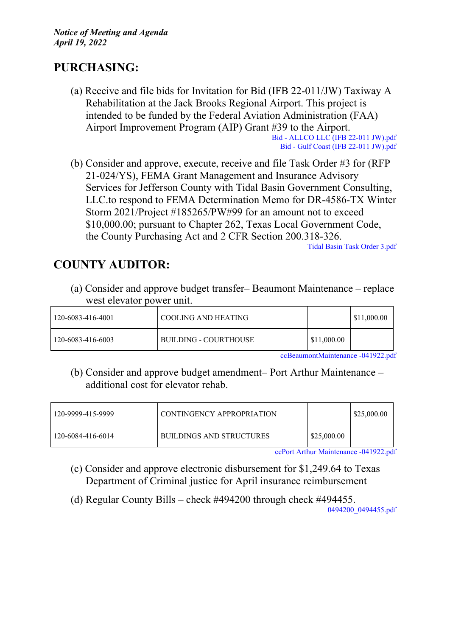# **PURCHASING:**

(a) Receive and file bids for Invitation for Bid (IFB 22-011/JW) Taxiway A Rehabilitation at the Jack Brooks Regional Airport. This project is intended to be funded by the Federal Aviation Administration (FAA) Airport Improvement Program (AIP) Grant #39 to the Airport.

Bid - [ALLCO](http://co.jefferson.tx.us/agenda/agendas_pl/20220419_688/Attachments/Bid%20-%20ALLCO%20LLC%20%28IFB%2022-011%20JW%29.pdf) LLC (IFB 22-011 JW).pdf Bid - Gulf Coast (IFB 22-011 [JW\).pdf](http://co.jefferson.tx.us/agenda/agendas_pl/20220419_688/Attachments/Bid%20-%20Gulf%20Coast%20%28IFB%2022-011%20JW%29.pdf)

(b) Consider and approve, execute, receive and file Task Order #3 for (RFP 21-024/YS), FEMA Grant Management and Insurance Advisory Services for Jefferson County with Tidal Basin Government Consulting, LLC.to respond to FEMA Determination Memo for DR-4586-TX Winter Storm 2021/Project #185265/PW#99 for an amount not to exceed \$10,000.00; pursuant to Chapter 262, Texas Local Government Code, the County Purchasing Act and 2 CFR Section 200.318-326.

Tidal Basin Task [Order](http://co.jefferson.tx.us/agenda/agendas_pl/20220419_688/Attachments/Tidal%20Basin%20Task%20Order%203.pdf) 3.pdf

# **COUNTY AUDITOR:**

(a) Consider and approve budget transfer– Beaumont Maintenance – replace west elevator power unit.

| 120-6083-416-4001 | ! COOLING AND HEATING-       |             | \$11,000.00 |
|-------------------|------------------------------|-------------|-------------|
| 120-6083-416-6003 | <b>BUILDING - COURTHOUSE</b> | \$11,000.00 |             |

[ccBeaumontMaintenance](http://co.jefferson.tx.us/agenda/agendas_pl/20220419_688/Attachments/ccBeaumontMaintenance%20-041922.pdf) -041922.pdf

(b) Consider and approve budget amendment– Port Arthur Maintenance – additional cost for elevator rehab.

| 120-9999-415-9999 | CONTINGENCY APPROPRIATION |             | \$25,000.00 |
|-------------------|---------------------------|-------------|-------------|
| 120-6084-416-6014 | BUILDINGS AND STRUCTURES  | \$25,000.00 |             |

ccPort Arthur [Maintenance](http://co.jefferson.tx.us/agenda/agendas_pl/20220419_688/Attachments/ccPort%20Arthur%20Maintenance%20-041922.pdf) -041922.pdf

- (c) Consider and approve electronic disbursement for \$1,249.64 to Texas Department of Criminal justice for April insurance reimbursement
- (d) Regular County Bills check #494200 through check #494455.

[0494200\\_0494455.pdf](http://co.jefferson.tx.us/agenda/agendas_pl/20220419_688/Attachments/0494200_0494455.pdf)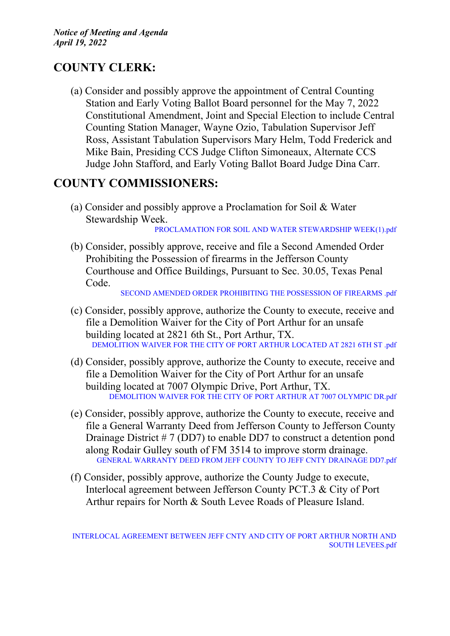# **COUNTY CLERK:**

(a) Consider and possibly approve the appointment of Central Counting Station and Early Voting Ballot Board personnel for the May 7, 2022 Constitutional Amendment, Joint and Special Election to include Central Counting Station Manager, Wayne Ozio, Tabulation Supervisor Jeff Ross, Assistant Tabulation Supervisors Mary Helm, Todd Frederick and Mike Bain, Presiding CCS Judge Clifton Simoneaux, Alternate CCS Judge John Stafford, and Early Voting Ballot Board Judge Dina Carr.

# **COUNTY COMMISSIONERS:**

(a) Consider and possibly approve a Proclamation for Soil & Water Stewardship Week.

[PROCLAMATION](http://co.jefferson.tx.us/agenda/agendas_pl/20220419_688/Attachments/PROCLAMATION%20FOR%20SOIL%20AND%20WATER%20STEWARDSHIP%20WEEK%281%29.pdf) FOR SOIL AND WATER STEWARDSHIP WEEK(1).pdf

(b) Consider, possibly approve, receive and file a Second Amended Order Prohibiting the Possession of firearms in the Jefferson County Courthouse and Office Buildings, Pursuant to Sec. 30.05, Texas Penal Code.

SECOND AMENDED ORDER [PROHIBITING](http://co.jefferson.tx.us/agenda/agendas_pl/20220419_688/Attachments/SECOND%20AMENDED%20ORDER%20PROHIBITING%20THE%20POSSESSION%20OF%20FIREARMS%20.pdf) THE POSSESSION OF FIREARMS .pdf

- (c) Consider, possibly approve, authorize the County to execute, receive and file a Demolition Waiver for the City of Port Arthur for an unsafe building located at 2821 6th St., Port Arthur, TX. [DEMOLITION](http://co.jefferson.tx.us/agenda/agendas_pl/20220419_688/Attachments/DEMOLITION%20WAIVER%20FOR%20THE%20CITY%20OF%20PORT%20ARTHUR%20LOCATED%20AT%202821%206TH%20ST%20.pdf) WAIVER FOR THE CITY OF PORT ARTHUR LOCATED AT 2821 6TH ST .pdf
- (d) Consider, possibly approve, authorize the County to execute, receive and file a Demolition Waiver for the City of Port Arthur for an unsafe building located at 7007 Olympic Drive, Port Arthur, TX. [DEMOLITION](http://co.jefferson.tx.us/agenda/agendas_pl/20220419_688/Attachments/DEMOLITION%20WAIVER%20FOR%20THE%20CITY%20OF%20PORT%20ARTHUR%20AT%207007%20OLYMPIC%20DR.pdf) WAIVER FOR THE CITY OF PORT ARTHUR AT 7007 OLYMPIC DR.pdf
- (e) Consider, possibly approve, authorize the County to execute, receive and file a General Warranty Deed from Jefferson County to Jefferson County Drainage District # 7 (DD7) to enable DD7 to construct a detention pond along Rodair Gulley south of FM 3514 to improve storm drainage. GENERAL [WARRANTY](http://co.jefferson.tx.us/agenda/agendas_pl/20220419_688/Attachments/GENERAL%20WARRANTY%20DEED%20FROM%20JEFF%20COUNTY%20TO%20JEFF%20CNTY%20DRAINAGE%20DD7.pdf) DEED FROM JEFF COUNTY TO JEFF CNTY DRAINAGE DD7.pdf
- (f) Consider, possibly approve, authorize the County Judge to execute, Interlocal agreement between Jefferson County PCT.3 & City of Port Arthur repairs for North & South Levee Roads of Pleasure Island.